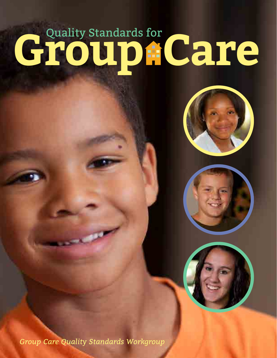# Quality Standards for **Group Care**







*Group Care Quality Standards Workgroup*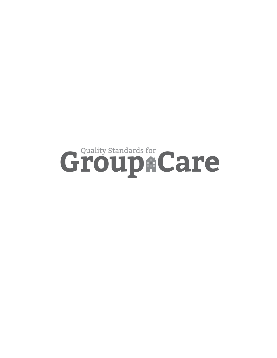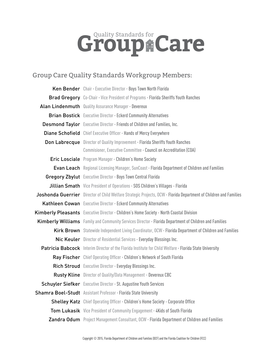# Group **Care**

#### Group Care Quality Standards Workgroup Members:

| Ken Bender Chair - Executive Director - Boys Town North Florida                                                   |
|-------------------------------------------------------------------------------------------------------------------|
| <b>Brad Gregory</b> Co-Chair · Vice President of Programs · Florida Sheriffs Youth Ranches                        |
| Alan Lindenmuth Quality Assurance Manager · Devereux                                                              |
| <b>Brian Bostick</b> Executive Director · Eckerd Community Alternatives                                           |
| <b>Desmond Taylor</b> Executive Director · Friends of Children and Families, Inc.                                 |
| <b>Diane Schofield</b> Chief Executive Officer - Hands of Mercy Everywhere                                        |
| <b>Don Labrecque</b> Director of Quality Improvement - Florida Sheriffs Youth Ranches                             |
| Commisioner, Executive Committee · Council on Accreditation (COA)                                                 |
| Eric Losciale Program Manager - Children's Home Society                                                           |
| <b>Evan Leach</b> Regional Licensing Manager, SunCoast · Florida Department of Children and Families              |
| Gregory Zbylut Executive Director · Boys Town Central Florida                                                     |
| Jillian Smath Vice President of Operations · SOS Children's Villages - Florida                                    |
| Joshonda Guerrier Director of Child Welfare Strategic Projects, OCW · Florida Department of Children and Families |
| Kathleen Cowan Executive Director - Eckerd Community Alternatives                                                 |
| <b>Kimberly Pleasants</b> Executive Director · Children's Home Society - North Coastal Division                   |
| <b>Kimberly Williams</b> Family and Community Services Director - Florida Department of Children and Families     |
| Kirk Brown Statewide Independent Living Coordinator, OCW - Florida Department of Children and Families            |
| <b>Nic Keuler</b> Director of Residential Services - Everyday Blessings Inc.                                      |
| Patricia Babcock Interim Director of the Florida Institute for Child Welfare - Florida State University           |
| Ray Fischer Chief Operating Officer · Children's Network of South Florida                                         |
| Rich Stroud Executive Director · Everyday Blessings Inc.                                                          |
| <b>Rusty Kline</b> Director of Quality/Data Management · Devereux CBC                                             |
| <b>Schuyler Siefker</b> Executive Director · St. Augustine Youth Services                                         |
| <b>Shamra Boel-Studt</b> Assistant Professor - Florida State University                                           |
| <b>Shelley Katz</b> Chief Operating Officer - Children's Home Society - Corporate Office                          |
| <b>Tom Lukasik</b> Vice President of Community Engagement · 4Kids of South Florida                                |
| Zandra Odum Project Management Consultant, OCW · Florida Department of Children and Families                      |
|                                                                                                                   |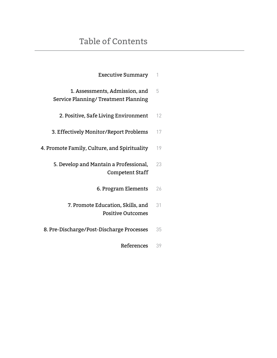#### Table of Contents

| <b>Executive Summary</b>                                              | 1  |
|-----------------------------------------------------------------------|----|
| 1. Assessments, Admission, and<br>Service Planning/Treatment Planning | 5  |
| 2. Positive, Safe Living Environment                                  | 12 |
| 3. Effectively Monitor/Report Problems                                | 17 |
| 4. Promote Family, Culture, and Spirituality                          | 19 |
| 5. Develop and Mantain a Professional,<br>Competent Staff             | 23 |
| 6. Program Elements                                                   | 26 |
| 7. Promote Education, Skills, and<br><b>Positive Outcomes</b>         | 31 |
| 8. Pre-Discharge/Post-Discharge Processes                             | 35 |

References 39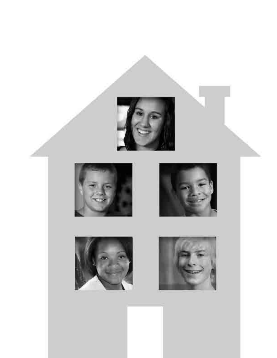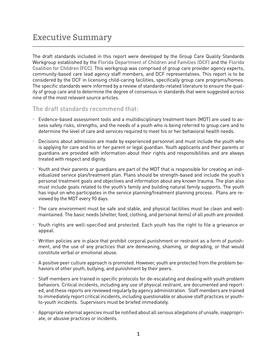The draft standards included in this report were developed by the Group Care Quality Standards Workgroup established by the Florida Department of Children and Families (DCF) and the Florida Coalition for Children (FCC). This workgroup was comprised of group care provider agency experts, community-based care lead agency staff members, and DCF representatives. This report is to be considered by the DCF in licensing child-caring facilities, specifically group care programs/homes. The specific standards were informed by a review of standards-related literature to ensure the quality of group care and to determine the degree of consensus in standards that were suggested across nine of the most relevant source articles.

The draft standards recommend that:

- · Evidence-based assessment tools and a multidisciplinary treatment team (MDT) are used to assess safety risks, strengths, and the needs of a youth who is being referred to group care and to determine the level of care and services required to meet his or her behavioral health needs.
- · Decisions about admission are made by experienced personnel and must include the youth who is applying for care and his or her parent or legal guardian. Youth applicants and their parents or guardians are provided with information about their rights and responsibilities and are always treated with respect and dignity.
- · Youth and their parents or guardians are part of the MDT that is responsible for creating an individualized service plan/treatment plan. Plans should be strength-based and include the youth's personal treatment goals and objectives and information about any known trauma. The plan also must include goals related to the youth's family and building natural family supports. The youth has input on who participates in the service planning/treatment planning process. Plans are reviewed by the MDT every 90 days.
- · The care environment must be safe and stable, and physical facilities must be clean and wellmaintained. The basic needs (shelter, food, clothing, and personal items) of all youth are provided.
- · Youth rights are well-specified and protected. Each youth has the right to file a grievance or appeal.
- · Written policies are in place that prohibit corporal punishment or restraint as a form of punishment, and the use of any practices that are demeaning, shaming, or degrading, or that would constitute verbal or emotional abuse.
- · A positive peer culture approach is promoted. However, youth are protected from the problem behaviors of other youth, bullying, and punishment by their peers.
- · Staff members are trained in specific protocols for de-escalating and dealing with youth problem behaviors. Critical incidents, including any use of physical restraint, are documented and reported, and these reports are reviewed regularly by agency administration. Staff members are trained to immediately report critical incidents, including questionable or abusive staff practices or youthto-youth incidents. Supervisors must be briefed immediately.
- · Appropriate external agencies must be notified about all serious allegations of unsafe, inappropriate, or abusive practices or incidents.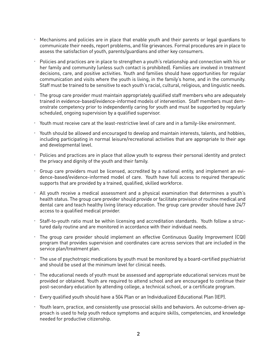- · Mechanisms and policies are in place that enable youth and their parents or legal guardians to communicate their needs, report problems, and file grievances. Formal procedures are in place to assess the satisfaction of youth, parents/guardians and other key consumers.
- · Policies and practices are in place to strengthen a youth's relationship and connection with his or her family and community (unless such contact is prohibited). Families are involved in treatment decisions, care, and positive activities. Youth and families should have opportunities for regular communication and visits where the youth is living, in the family's home, and in the community. Staff must be trained to be sensitive to each youth's racial, cultural, religious, and linguistic needs.
- · The group care provider must maintain appropriately qualified staff members who are adequately trained in evidence-based/evidence-informed models of intervention. Staff members must demonstrate competency prior to independently caring for youth and must be supported by regularly scheduled, ongoing supervision by a qualified supervisor.
- · Youth must receive care at the least-restrictive level of care and in a family-like environment.
- · Youth should be allowed and encouraged to develop and maintain interests, talents, and hobbies, including participating in normal leisure/recreational activities that are appropriate to their age and developmental level.
- · Policies and practices are in place that allow youth to express their personal identity and protect the privacy and dignity of the youth and their family.
- · Group care providers must be licensed, accredited by a national entity, and implement an evidence-based/evidence-informed model of care. Youth have full access to required therapeutic supports that are provided by a trained, qualified, skilled workforce.
- · All youth receive a medical assessment and a physical examination that determines a youth's health status. The group care provider should provide or facilitate provision of routine medical and dental care and teach healthy living literacy education. The group care provider should have 24/7 access to a qualified medical provider.
- · Staff-to-youth ratio must be within licensing and accreditation standards. Youth follow a structured daily routine and are monitored in accordance with their individual needs.
- · The group care provider should implement an effective Continuous Quality Improvement (CQI) program that provides supervision and coordinates care across services that are included in the service plan/treatment plan.
- · The use of psychotropic medications by youth must be monitored by a board-certified psychiatrist and should be used at the minimum level for clinical needs.
- · The educational needs of youth must be assessed and appropriate educational services must be provided or obtained. Youth are required to attend school and are encouraged to continue their post-secondary education by attending college, a technical school, or a certificate program.
- · Every qualified youth should have a 504 Plan or an Individualized Educational Plan (IEP).
- · Youth learn, practice, and consistently use prosocial skills and behaviors. An outcome-driven approach is used to help youth reduce symptoms and acquire skills, competencies, and knowledge needed for productive citizenship.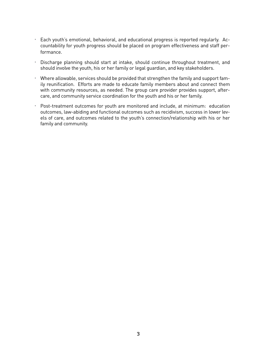- · Each youth's emotional, behavioral, and educational progress is reported regularly. Accountability for youth progress should be placed on program effectiveness and staff performance.
- · Discharge planning should start at intake, should continue throughout treatment, and should involve the youth, his or her family or legal guardian, and key stakeholders.
- · Where allowable, services should be provided that strengthen the family and support family reunification. Efforts are made to educate family members about and connect them with community resources, as needed. The group care provider provides support, aftercare, and community service coordination for the youth and his or her family.
- · Post-treatment outcomes for youth are monitored and include, at minimum: education outcomes, law-abiding and functional outcomes such as recidivism, success in lower levels of care, and outcomes related to the youth's connection/relationship with his or her family and community.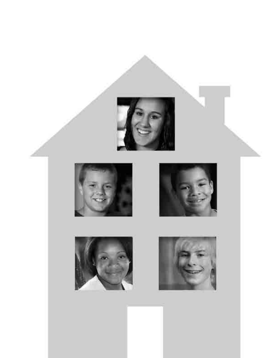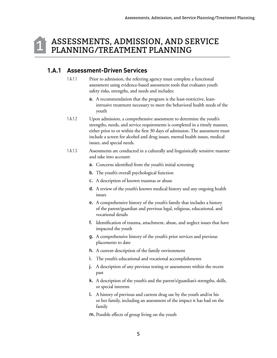#### 1 ASSESSMENTS, ADMISSION, AND SERVICE PLANNING/TREATMENT PLANNING

#### **1.A.1 Assessment-Driven Services**

- 1.A.1.1 Prior to admission, the referring agency must complete a functional assessment using evidence-based assessment tools that evaluates youth safety risks, strengths, and needs and includes:
	- a. A recommendation that the program is the least-restrictive, leastintrusive treatment necessary to meet the behavioral health needs of the youth
- 1.A.1.2 Upon admission, a comprehensive assessment to determine the youth's strengths, needs, and service requirements is completed in a timely manner, either prior to or within the first 30 days of admission. The assessment must include a screen for alcohol and drug issues, mental health issues, medical issues, and special needs.
- 1.A.1.3 Assessments are conducted in a culturally and linguistically sensitive manner and take into account:
	- a. Concerns identified from the youth's initial screening
	- **b.** The youth's overall psychological function
	- c. A description of known traumas or abuse
	- d. A review of the youth's known medical history and any ongoing health issues
	- e. A comprehensive history of the youth's family that includes a history of the parent/guardian and previous legal, religious, educational, and vocational details
	- f. Identification of trauma, attachment, abuse, and neglect issues that have impacted the youth
	- g. A comprehensive history of the youth's prior services and previous placements to date
	- h. A current description of the family environment
	- i. The youth's educational and vocational accomplishments
	- j. A description of any previous testing or assessments within the recent past
	- k. A description of the youth's and the parent's/guardian's strengths, skills, or special interests
	- l. A history of previous and current drug use by the youth and/or his or her family, including an assessment of the impact it has had on the family
	- m. Possible effects of group living on the youth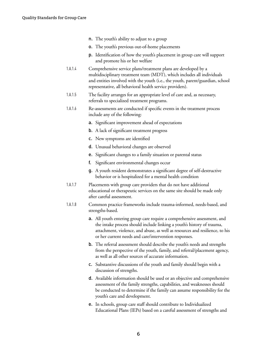- **n.** The youth's ability to adjust to a group
- o. The youth's previous out-of-home placements
- p. Identification of how the youth's placement in group care will support and promote his or her welfare
- 1.A.1.4 Comprehensive service plans/treatment plans are developed by a multidisciplinary treatment team (MDT), which includes all individuals and entities involved with the youth (i.e., the youth, parent/guardian, school representative, all behavioral health service providers).
- 1.A.1.5 The facility arranges for an appropriate level of care and, as necessary, referrals to specialized treatment programs.
- 1.A.1.6 Re-assessments are conducted if specific events in the treatment process include any of the following:
	- a. Significant improvement ahead of expectations
	- **b.** A lack of significant treatment progress
	- c. New symptoms are identified
	- d. Unusual behavioral changes are observed
	- e. Significant changes to a family situation or parental status
	- f. Significant environmental changes occur
	- g. A youth resident demonstrates a significant degree of self-destructive behavior or is hospitalized for a mental health condition
- 1.A.1.7 Placements with group care providers that do not have additional educational or therapeutic services on the same site should be made only after careful assessment.
- 1.A.1.8 Common practice frameworks include trauma-informed, needs-based, and strengths-based.
	- a. All youth entering group care require a comprehensive assessment, and the intake process should include linking a youth's history of trauma, attachment, violence, and abuse, as well as resources and resilience, to his or her current needs and care/intervention responses.
	- b. The referral assessment should describe the youth's needs and strengths from the perspective of the youth, family, and referral/placement agency, as well as all other sources of accurate information.
	- c. Substantive discussions of the youth and family should begin with a discussion of strengths.
	- d. Available information should be used or an objective and comprehensive assessment of the family strengths, capabilities, and weaknesses should be conducted to determine if the family can assume responsibility for the youth's care and development.
	- e. In schools, group care staff should contribute to Individualized Educational Plans (IEPs) based on a careful assessment of strengths and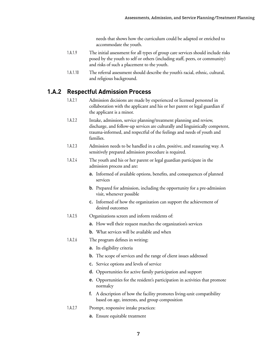needs that shows how the curriculum could be adapted or enriched to accommodate the youth.

- 1.A.1.9 The initial assessment for all types of group care services should include risks posed by the youth to self or others (including staff, peers, or community) and risks of such a placement to the youth.
- 1.A.1.10 The referral assessment should describe the youth's racial, ethnic, cultural, and religious background.

#### **1.A.2 Respectful Admission Process**

- 1.A.2.1 Admission decisions are made by experienced or licensed personnel in collaboration with the applicant and his or her parent or legal guardian if the applicant is a minor.
- 1.A.2.2 Intake, admission, service planning/treatment planning and review, discharge, and follow-up services are culturally and linguistically competent, trauma-informed, and respectful of the feelings and needs of youth and families.
- 1.A.2.3 Admission needs to be handled in a calm, positive, and reassuring way. A sensitively prepared admission procedure is required.
- 1.A.2.4 The youth and his or her parent or legal guardian participate in the admission process and are:
	- a. Informed of available options, benefits, and consequences of planned services
	- b. Prepared for admission, including the opportunity for a pre-admission visit, whenever possible
	- c. Informed of how the organization can support the achievement of desired outcomes
- 1.A.2.5 Organizations screen and inform residents of:
	- a. How well their request matches the organization's services
	- **b.** What services will be available and when
- 1.A.2.6 The program defines in writing:
	- a. Its eligibility criteria
	- b. The scope of services and the range of client issues addressed
	- c. Service options and levels of service
	- d. Opportunities for active family participation and support
	- e. Opportunities for the resident's participation in activities that promote normalcy
	- f. A description of how the facility promotes living-unit compatibility based on age, interests, and group composition
- 1.A.2.7 Prompt, responsive intake practices:
	- a. Ensure equitable treatment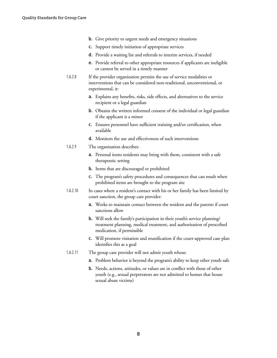- **b.** Give priority to urgent needs and emergency situations
- c. Support timely initiation of appropriate services
- d. Provide a waiting list and referrals to interim services, if needed
- e. Provide referral to other appropriate resources if applicants are ineligible or cannot be served in a timely manner
- 1.A.2.8 If the provider organization permits the use of service modalities or interventions that can be considered non-traditional, unconventional, or experimental, it:
	- a. Explains any benefits, risks, side effects, and alternatives to the service recipient or a legal guardian
	- b. Obtains the written informed consent of the individual or legal guardian if the applicant is a minor
	- c. Ensures personnel have sufficient training and/or certification, when available
	- d. Monitors the use and effectiveness of such interventions
- 1.A.2.9 The organization describes:
	- a. Personal items residents may bring with them, consistent with a safe therapeutic setting
	- b. Items that are discouraged or prohibited
	- c. The program's safety procedures and consequences that can result when prohibited items are brought to the program site
- 1.A.2.10 In cases where a resident's contact with his or her family has been limited by court sanction, the group care provider:
	- a. Works to maintain contact between the resident and the parents if court sanctions allow
	- b. Will seek the family's participation in their youth's service planning/ treatment planning, medical treatment, and authorization of prescribed medication, if permissible
	- c. Will promote visitation and reunification if the court-approved case plan identifies this as a goal
- 1.A.2.11 The group care provider will not admit youth whose:
	- a. Problem behavior is beyond the program's ability to keep other youth safe
	- b. Needs, actions, attitudes, or values are in conflict with those of other youth (e.g., sexual perpetrators are not admitted to homes that house sexual abuse victims)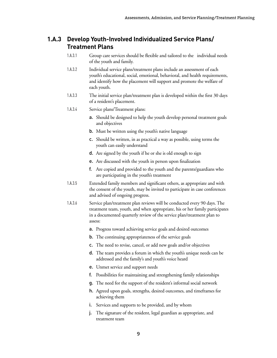#### **1.A.3 Develop Youth-Involved Individualized Service Plans/ Treatment Plans**

- 1.A.3.1 Group care services should be flexible and tailored to the individual needs of the youth and family.
- 1.A.3.2 Individual service plans/treatment plans include an assessment of each youth's educational, social, emotional, behavioral, and health requirements, and identify how the placement will support and promote the welfare of each youth.
- 1.A.3.3 The initial service plan/treatment plan is developed within the first 30 days of a resident's placement.
- 1.A.3.4 Service plans/Treatment plans:
	- a. Should be designed to help the youth develop personal treatment goals and objectives
	- b. Must be written using the youth's native language
	- c. Should be written, in as practical a way as possible, using terms the youth can easily understand
	- d. Are signed by the youth if he or she is old enough to sign
	- e. Are discussed with the youth in person upon finalization
	- f. Are copied and provided to the youth and the parents/guardians who are participating in the youth's treatment
- 1.A.3.5 Extended family members and significant others, as appropriate and with the consent of the youth, may be invited to participate in case conferences and advised of ongoing progress.
- 1.A.3.6 Service plan/treatment plan reviews will be conducted every 90 days. The treatment team, youth, and when appropriate, his or her family participates in a documented quarterly review of the service plan/treatment plan to assess:
	- a. Progress toward achieving service goals and desired outcomes
	- **b.** The continuing appropriateness of the service goals
	- c. The need to revise, cancel, or add new goals and/or objectives
	- d. The team provides a forum in which the youth's unique needs can be addressed and the family's and youth's voice heard
	- e. Unmet service and support needs
	- f. Possibilities for maintaining and strengthening family relationships
	- g. The need for the support of the resident's informal social network
	- h. Agreed upon goals, strengths, desired outcomes, and timeframes for achieving them
	- i. Services and supports to be provided, and by whom
	- j. The signature of the resident, legal guardian as appropriate, and treatment team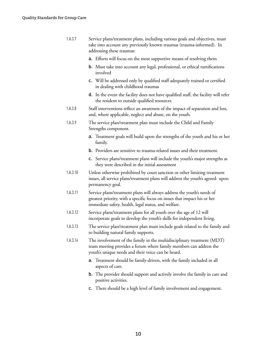- 1.A.3.7 Service plans/treatment plans, including various goals and objectives, must take into account any previously known traumas (trauma-informed). In addressing these traumas:
	- a. Efforts will focus on the most supportive means of resolving them
	- b. Must take into account any legal, professional, or ethical ramifications involved
	- c. Will be addressed only by qualified staff adequately trained or certified in dealing with childhood traumas
	- d. In the event the facility does not have qualified staff, the facility will refer the resident to outside qualified resources
- 1.A.3.8 Staff interventions reflect an awareness of the impact of separation and loss, and, where applicable, neglect and abuse, on the youth.
- 1.A.3.9 The service plan/treatment plan must include the Child and Family Strengths component.
	- a. Treatment goals will build upon the strengths of the youth and his or her family.
	- b. Providers are sensitive to trauma-related issues and their treatment.
	- c. Service plans/treatment plans will include the youth's major strengths as they were described in the initial assessment
- 1.A.3.10 Unless otherwise prohibited by court sanction or other limiting treatment issues, all service plans/treatment plans will address the youth's agreed- upon permanency goal.
- 1.A.3.11 Service plans/treatment plans will always address the youth's needs of greatest priority, with a specific focus on issues that impact his or her immediate safety, health, legal status, and welfare.
- 1.A.3.12 Service plans/treatment plans for all youth over the age of 12 will incorporate goals to develop the youth's skills for independent living.
- 1.A.3.13 The service plan/treatment plan must include goals related to the family and to building natural family supports.
- 1.A.3.14 The involvement of the family in the multidisciplinary treatment (MDT) team meeting provides a forum where family members can address the youth's unique needs and their voice can be heard.
	- a. Treatment should be family-driven, with the family included in all aspects of care.
	- **b.** The provider should support and actively involve the family in care and positive activities.
	- c. There should be a high level of family involvement and engagement.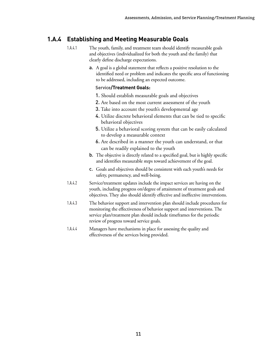#### **1.A.4 Establishing and Meeting Measurable Goals**

- 1.A.4.1 The youth, family, and treatment team should identify measurable goals and objectives (individualized for both the youth and the family) that clearly define discharge expectations.
	- a. A goal is a global statement that reflects a positive resolution to the identified need or problem and indicates the specific area of functioning to be addressed, including an expected outcome.

#### **Service/Treatment Goals:**

- 1. Should establish measurable goals and objectives
- 2. Are based on the most current assessment of the youth
- 3. Take into account the youth's developmental age
- 4. Utilize discrete behavioral elements that can be tied to specific behavioral objectives
- 5. Utilize a behavioral scoring system that can be easily calculated to develop a measurable context
- 6. Are described in a manner the youth can understand, or that can be readily explained to the youth
- b. The objective is directly related to a specified goal, but is highly specific and identifies measurable steps toward achievement of the goal.
- c. Goals and objectives should be consistent with each youth's needs for safety, permanency, and well-being.
- 1.A.4.2 Service/treatment updates include the impact services are having on the youth, including progress on/degree of attainment of treatment goals and objectives. They also should identify effective and ineffective interventions.
- 1.A.4.3 The behavior support and intervention plan should include procedures for monitoring the effectiveness of behavior support and interventions. The service plan/treatment plan should include timeframes for the periodic review of progress toward service goals.
- 1.A.4.4 Managers have mechanisms in place for assessing the quality and effectiveness of the services being provided.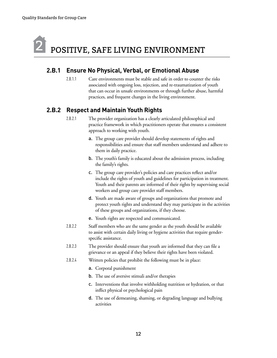## 2 POSITIVE, SAFE LIVING ENVIRONMENT

#### **2.B.1 Ensure No Physical, Verbal, or Emotional Abuse**

2.B.1.1 Care environments must be stable and safe in order to counter the risks associated with ongoing loss, rejection, and re-traumatization of youth that can occur in unsafe environments or through further abuse, harmful practices, and frequent changes in the living environment.

#### **2.B.2 Respect and Maintain Youth Rights**

- 2.B.2.1 The provider organization has a clearly articulated philosophical and practice framework in which practitioners operate that ensures a consistent approach to working with youth.
	- a. The group care provider should develop statements of rights and responsibilities and ensure that staff members understand and adhere to them in daily practice.
	- b. The youth's family is educated about the admission process, including the family's rights.
	- c. The group care provider's policies and care practices reflect and/or include the rights of youth and guidelines for participation in treatment. Youth and their parents are informed of their rights by supervising social workers and group care provider staff members.
	- d. Youth are made aware of groups and organizations that promote and protect youth rights and understand they may participate in the activities of these groups and organizations, if they choose.
	- e. Youth rights are respected and communicated.
- 2.B.2.2 Staff members who are the same gender as the youth should be available to assist with certain daily living or hygiene activities that require genderspecific assistance.
- 2.B.2.3 The provider should ensure that youth are informed that they can file a grievance or an appeal if they believe their rights have been violated.
- 2.B.2.4 Written policies that prohibit the following must be in place:
	- a. Corporal punishment
	- b. The use of aversive stimuli and/or therapies
	- c. Interventions that involve withholding nutrition or hydration, or that inflict physical or psychological pain
	- d. The use of demeaning, shaming, or degrading language and bullying activities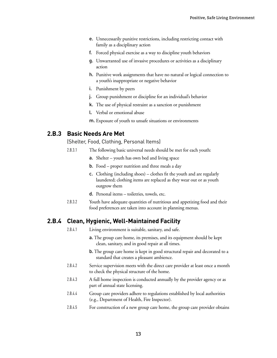- e. Unnecessarily punitive restrictions, including restricting contact with family as a disciplinary action
- f. Forced physical exercise as a way to discipline youth behaviors
- g. Unwarranted use of invasive procedures or activities as a disciplinary action
- h. Punitive work assignments that have no natural or logical connection to a youth's inappropriate or negative behavior
- i. Punishment by peers
- j. Group punishment or discipline for an individual's behavior
- k. The use of physical restraint as a sanction or punishment
- l. Verbal or emotional abuse
- m. Exposure of youth to unsafe situations or environments

#### **2.B.3 Basic Needs Are Met**

(Shelter, Food, Clothing, Personal Items)

- 2.B.3.1 The following basic universal needs should be met for each youth:
	- a. Shelter youth has own bed and living space
	- b. Food proper nutrition and three meals a day
	- c. Clothing (including shoes) clothes fit the youth and are regularly laundered; clothing items are replaced as they wear out or as youth outgrow them
	- d. Personal items toiletries, towels, etc.
- 2.B.3.2 Youth have adequate quantities of nutritious and appetizing food and their food preferences are taken into account in planning menus.

#### **2.B.4 Clean, Hygienic, Well-Maintained Facility**

- 2.B.4.1 Living environment is suitable, sanitary, and safe.
	- a. The group care home, its premises, and its equipment should be kept clean, sanitary, and in good repair at all times.
	- **b.** The group care home is kept in good structural repair and decorated to a standard that creates a pleasant ambience.
- 2.B.4.2 Service supervision meets with the direct care provider at least once a month to check the physical structure of the home.
- 2.B.4.3 A full home inspection is conducted annually by the provider agency or as part of annual state licensing.
- 2.B.4.4 Group care providers adhere to regulations established by local authorities (e.g., Department of Health, Fire Inspector).
- 2.B.4.5 For construction of a new group care home, the group care provider obtains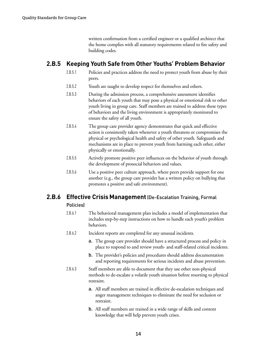written confirmation from a certified engineer or a qualified architect that the home complies with all statutory requirements related to fire safety and building codes.

#### **2.B.5 Keeping Youth Safe from Other Youths' Problem Behavior**

- 2.B.5.1 Policies and practices address the need to protect youth from abuse by their peers.
- 2.B.5.2 Youth are taught to develop respect for themselves and others.
- 2.B.5.3 During the admission process, a comprehensive assessment identifies behaviors of each youth that may pose a physical or emotional risk to other youth living in group care. Staff members are trained to address these types of behaviors and the living environment is appropriately monitored to ensure the safety of all youth.
- 2.B.5.4 The group care provider agency demonstrates that quick and effective action is consistently taken whenever a youth threatens or compromises the physical or psychological health and safety of other youth. Safeguards and mechanisms are in place to prevent youth from harming each other, either physically or emotionally.
- 2.B.5.5 Actively promote positive peer influences on the behavior of youth through the development of prosocial behaviors and values.
- 2.B.5.6 Use a positive peer culture approach, where peers provide support for one another (e.g., the group care provider has a written policy on bullying that promotes a positive and safe environment).

#### **2.B.6 Effective Crisis Management** (De-Escalation Training, Formal Policies)

- 2.B.6.1 The behavioral management plan includes a model of implementation that includes step-by-step instructions on how to handle each youth's problem behaviors.
- 2.B.6.2 Incident reports are completed for any unusual incidents.
	- a. The group care provider should have a structured process and policy in place to respond to and review youth- and staff-related critical incidents.
	- b. The provider's policies and procedures should address documentation and reporting requirements for serious incidents and abuse prevention.
- 2.B.6.3 Staff members are able to document that they use other non-physical methods to de-escalate a volatile youth situation before resorting to physical restraint.
	- a. All staff members are trained in effective de-escalation techniques and anger management techniques to eliminate the need for seclusion or restraint.
	- b. All staff members are trained in a wide range of skills and content knowledge that will help prevent youth crises.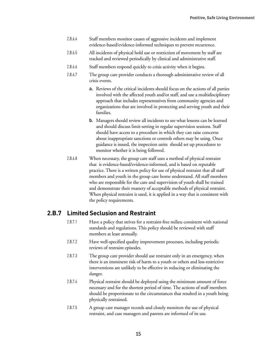- 2.B.6.4 Staff members monitor causes of aggressive incidents and implement evidence-based/evidence-informed techniques to prevent recurrence.
- 2.B.6.5 All incidents of physical hold use or restriction of movement by staff are tracked and reviewed periodically by clinical and administrative staff.
- 2.B.6.6 Staff members respond quickly to crisis activity when it begins.
- 2.B.6.7 The group care provider conducts a thorough administrative review of all crisis events.
	- a. Reviews of the critical incidents should focus on the actions of all parties involved with the affected youth and/or staff, and use a multidisciplinary approach that includes representatives from community agencies and organizations that are involved in protecting and serving youth and their families.
	- b. Managers should review all incidents to see what lessons can be learned and should discuss limit-setting in regular supervision sessions. Staff should have access to a procedure in which they can raise concerns about inappropriate sanctions or controls others may be using. Once guidance is issued, the inspection units should set up procedures to monitor whether it is being followed.
- 2.B.6.8 When necessary, the group care staff uses a method of physical restraint that is evidence-based/evidence-informed, and is based on reputable practice. There is a written policy for use of physical restraint that all staff members and youth in the group care home understand. All staff members who are responsible for the care and supervision of youth shall be trained and demonstrate their mastery of acceptable methods of physical restraint. When physical restraint is used, it is applied in a way that is consistent with the policy requirements.

#### **2.B.7 Limited Seclusion and Restraint**

- 2.B.7.1 Have a policy that strives for a restraint-free milieu consistent with national standards and regulations. This policy should be reviewed with staff members at least annually.
- 2.B.7.2 Have well-specified quality improvement processes, including periodic reviews of restraint episodes.
- 2.B.7.3 The group care provider should use restraint only in an emergency, when there is an imminent risk of harm to a youth or others and less-restrictive interventions are unlikely to be effective in reducing or eliminating the danger.
- 2.B.7.4 Physical restraint should be deployed using the minimum amount of force necessary and for the shortest period of time. The actions of staff members should be proportionate to the circumstances that resulted in a youth being physically restrained.
- 2.B.7.5 A group care manager records and closely monitors the use of physical restraint, and case managers and parents are informed of its use.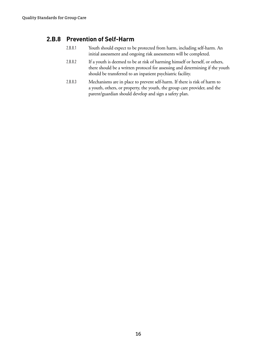#### **2.B.8 Prevention of Self-Harm**

- 2.B.8.1 Youth should expect to be protected from harm, including self-harm. An initial assessment and ongoing risk assessments will be completed.
- 2.B.8.2 If a youth is deemed to be at risk of harming himself or herself, or others, there should be a written protocol for assessing and determining if the youth should be transferred to an inpatient psychiatric facility.
- 2.B.8.3 Mechanisms are in place to prevent self-harm. If there is risk of harm to a youth, others, or property, the youth, the group care provider, and the parent/guardian should develop and sign a safety plan.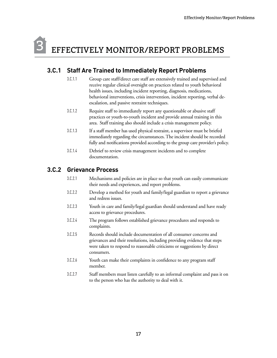# EFFECTIVELY MONITOR/REPORT PROBLEMS

#### **3.C.1 Staff Are Trained to Immediately Report Problems**

- 3.C.1.1 Group care staff/direct care staff are extensively trained and supervised and receive regular clinical oversight on practices related to youth behavioral health issues, including incident reporting, diagnosis, medications, behavioral interventions, crisis intervention, incident reporting, verbal deescalation, and passive restraint techniques.
- 3.C.1.2 Require staff to immediately report any questionable or abusive staff practices or youth-to-youth incident and provide annual training in this area. Staff training also should include a crisis management policy.
- 3.C.1.3 If a staff member has used physical restraint, a supervisor must be briefed immediately regarding the circumstances. The incident should be recorded fully and notifications provided according to the group care provider's policy.
- 3.C.1.4 Debrief to review crisis management incidents and to complete documentation.

#### **3.C.2 Grievance Process**

- 3.C.2.1 Mechanisms and policies are in place so that youth can easily communicate their needs and experiences, and report problems.
- 3.C.2.2 Develop a method for youth and family/legal guardian to report a grievance and redress issues.
- 3.C.2.3 Youth in care and family/legal guardian should understand and have ready access to grievance procedures.
- 3.C.2.4 The program follows established grievance procedures and responds to complaints.
- 3.C.2.5 Records should include documentation of all consumer concerns and grievances and their resolutions, including providing evidence that steps were taken to respond to reasonable criticisms or suggestions by direct consumers.
- 3.C.2.6 Youth can make their complaints in confidence to any program staff member.
- 3.C.2.7 Staff members must listen carefully to an informal complaint and pass it on to the person who has the authority to deal with it.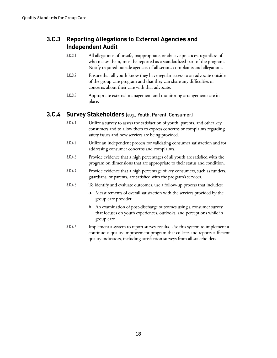#### **3.C.3 Reporting Allegations to External Agencies and Independent Audit**

- 3.C.3.1 All allegations of unsafe, inappropriate, or abusive practices, regardless of who makes them, must be reported as a standardized part of the program. Notify required outside agencies of all serious complaints and allegations.
- 3.C.3.2 Ensure that all youth know they have regular access to an advocate outside of the group care program and that they can share any difficulties or concerns about their care with that advocate.
- 3.C.3.3 Appropriate external management and monitoring arrangements are in place.

#### **3.C.4 Survey Stakeholders** (e.g., Youth, Parent, Consumer)

- 3.C.4.1 Utilize a survey to assess the satisfaction of youth, parents, and other key consumers and to allow them to express concerns or complaints regarding safety issues and how services are being provided.
- 3.C.4.2 Utilize an independent process for validating consumer satisfaction and for addressing consumer concerns and complaints.
- 3.C.4.3 Provide evidence that a high percentages of all youth are satisfied with the program on dimensions that are appropriate to their status and condition.
- 3.C.4.4 Provide evidence that a high percentage of key consumers, such as funders, guardians, or parents, are satisfied with the program's services.
- 3.C.4.5 To identify and evaluate outcomes, use a follow-up process that includes:
	- a. Measurements of overall satisfaction with the services provided by the group care provider
	- **b.** An examination of post-discharge outcomes using a consumer survey that focuses on youth experiences, outlooks, and perceptions while in group care
- 3.C.4.6 Implement a system to report survey results. Use this system to implement a continuous quality improvement program that collects and reports sufficient quality indicators, including satisfaction surveys from all stakeholders.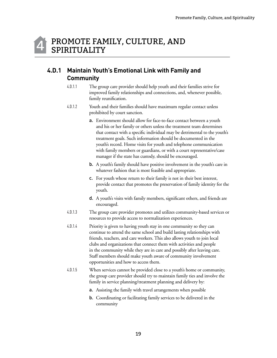#### PROMOTE FAMILY, CULTURE, AND SPIRITUALITY

#### **4.D.1 Maintain Youth's Emotional Link with Family and Community**

- 4.D.1.1 The group care provider should help youth and their families strive for improved family relationships and connections, and, whenever possible, family reunification.
- 4.D.1.2 Youth and their families should have maximum regular contact unless prohibited by court sanction.
	- a. Environment should allow for face-to-face contact between a youth and his or her family or others unless the treatment team determines that contact with a specific individual may be detrimental to the youth's treatment goals. Such information should be documented in the youth's record. Home visits for youth and telephone communication with family members or guardians, or with a court representative/case manager if the state has custody, should be encouraged.
	- b. A youth's family should have positive involvement in the youth's care in whatever fashion that is most feasible and appropriate.
	- c. For youth whose return to their family is not in their best interest, provide contact that promotes the preservation of family identity for the youth.
	- d. A youth's visits with family members, significant others, and friends are encouraged.
- 4.D.1.3 The group care provider promotes and utilizes community-based services or resources to provide access to normalization experiences.
- 4.D.1.4 Priority is given to having youth stay in one community so they can continue to attend the same school and build lasting relationships with friends, teachers, and care workers. This also allows youth to join local clubs and organizations that connect them with activities and people in the community while they are in care and possibly after leaving care. Staff members should make youth aware of community involvement opportunities and how to access them.
- 4.D.1.5 When services cannot be provided close to a youth's home or community, the group care provider should try to maintain family ties and involve the family in service planning/treatment planning and delivery by:
	- a. Assisting the family with travel arrangements when possible
	- b. Coordinating or facilitating family services to be delivered in the community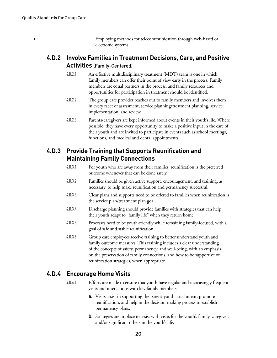c. Employing methods for telecommunication through web-based or electronic systems

#### **4.D.2 Involve Families in Treatment Decisions, Care, and Positive Activities** (Family-Centered)

- 4.D.2.1 An effective multidisciplinary treatment (MDT) team is one in which family members can offer their point of view early in the process. Family members are equal partners in the process, and family resources and opportunities for participation in treatment should be identified.
- 4.D.2.2 The group care provider reaches out to family members and involves them in every facet of assessment, service planning/treatment planning, service implementation, and review.
- 4.D.2.3 Parents/caregivers are kept informed about events in their youth's life. Where possible, they have every opportunity to make a positive input in the care of their youth and are invited to participate in events such as school meetings, functions, and medical and dental appointments.

#### **4.D.3 Provide Training that Supports Reunification and Maintaining Family Connections**

- 4.D.3.1 For youth who are away from their families, reunification is the preferred outcome whenever that can be done safely.
- 4.D.3.2 Families should be given active support, encouragement, and training, as necessary, to help make reunification and permanency successful.
- 4.D.3.3 Clear plans and supports need to be offered to families when reunification is the service plan/treatment plan goal.
- 4.D.3.4 Discharge planning should provide families with strategies that can help their youth adapt to "family life" when they return home.
- 4.D.3.5 Processes need to be youth-friendly while remaining family-focused, with a goal of safe and stable reunification.
- 4.D.3.6 Group care employees receive training to better understand youth and family outcome measures. This training includes a clear understanding of the concepts of safety, permanency, and well-being, with an emphasis on the preservation of family connections, and how to be supportive of reunification strategies, when appropriate.

#### **4.D.4 Encourage Home Visits**

- 4.D.4.1 Efforts are made to ensure that youth have regular and increasingly frequent visits and interactions with key family members.
	- a. Visits assist in supporting the parent-youth attachment, promote reunification, and help in the decision-making process to establish permanency plans.
	- b. Strategies are in place to assist with visits for the youth's family, caregiver, and/or significant others in the youth's life.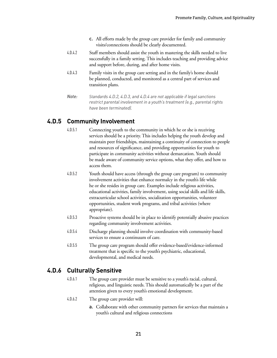- c. All efforts made by the group care provider for family and community visits/connections should be clearly documented.
- 4.D.4.2 Staff members should assist the youth in mastering the skills needed to live successfully in a family setting. This includes teaching and providing advice and support before, during, and after home visits.
- 4.D.4.3 Family visits in the group care setting and in the family's home should be planned, conducted, and monitored as a central part of services and transition plans.
- *Note: Standards 4.D.2, 4.D.3, and 4.D.4 are not applicable if legal sanctions restrict parental involvement in a youth's treatment (e.g., parental rights have been terminated).*

#### **4.D.5 Community Involvement**

- 4.D.5.1 Connecting youth to the community in which he or she is receiving services should be a priority. This includes helping the youth develop and maintain peer friendships, maintaining a continuity of connection to people and resources of significance, and providing opportunities for youth to participate in community activities without demarcation. Youth should be made aware of community service options, what they offer, and how to access them.
- 4.D.5.2 Youth should have access (through the group care program) to community involvement activities that enhance normalcy in the youth's life while he or she resides in group care. Examples include religious activities, educational activities, family involvement, using social skills and life skills, extracurricular school activities, socialization opportunities, volunteer opportunities, student work programs, and tribal activities (where appropriate).
- 4.D.5.3 Proactive systems should be in place to identify potentially abusive practices regarding community involvement activities.
- 4.D.5.4 Discharge planning should involve coordination with community-based services to ensure a continuum of care.
- 4.D.5.5 The group care program should offer evidence-based/evidence-informed treatment that is specific to the youth's psychiatric, educational, developmental, and medical needs.

#### **4.D.6 Culturally Sensitive**

- 4.D.6.1 The group care provider must be sensitive to a youth's racial, cultural, religious, and linguistic needs. This should automatically be a part of the attention given to every youth's emotional development.
- 4.D.6.2 The group care provider will:
	- a. Collaborate with other community partners for services that maintain a youth's cultural and religious connections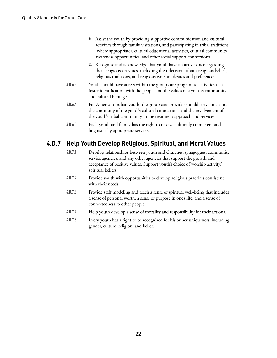- b. Assist the youth by providing supportive communication and cultural activities through family visitations, and participating in tribal traditions (where appropriate), cultural educational activities, cultural community awareness opportunities, and other social support connections
- c. Recognize and acknowledge that youth have an active voice regarding their religious activities, including their decisions about religious beliefs, religious traditions, and religious worship desires and preferences
- 4.D.6.3 Youth should have access within the group care program to activities that foster identification with the people and the values of a youth's community and cultural heritage.
- 4.D.6.4 For American Indian youth, the group care provider should strive to ensure the continuity of the youth's cultural connections and the involvement of the youth's tribal community in the treatment approach and services.
- 4.D.6.5 Each youth and family has the right to receive culturally competent and linguistically appropriate services.

#### **4.D.7 Help Youth Develop Religious, Spiritual, and Moral Values**

- 4.D.7.1 Develop relationships between youth and churches, synagogues, community service agencies, and any other agencies that support the growth and acceptance of positive values. Support youth's choice of worship activity/ spiritual beliefs.
- 4.D.7.2 Provide youth with opportunities to develop religious practices consistent with their needs.
- 4.D.7.3 Provide staff modeling and teach a sense of spiritual well-being that includes a sense of personal worth, a sense of purpose in one's life, and a sense of connectedness to other people.
- 4.D.7.4 Help youth develop a sense of morality and responsibility for their actions.
- 4.D.7.5 Every youth has a right to be recognized for his or her uniqueness, including gender, culture, religion, and belief.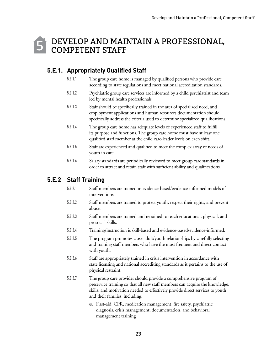#### 5 DEVELOP AND MAINTAIN A PROFESSIONAL, COMPETENT STAFF

#### **5.E.1. Appropriately Qualified Staff**

- 5.E.1.1 The group care home is managed by qualified persons who provide care according to state regulations and meet national accreditation standards.
- 5.E.1.2 Psychiatric group care services are informed by a child psychiatrist and team led by mental health professionals.
- 5.E.1.3 Staff should be specifically trained in the area of specialized need, and employment applications and human resources documentation should specifically address the criteria used to determine specialized qualifications.
- 5.E.1.4 The group care home has adequate levels of experienced staff to fulfill its purpose and functions. The group care home must have at least one qualified staff member at the child care-leader levels on each shift.
- 5.E.1.5 Staff are experienced and qualified to meet the complex array of needs of youth in care.
- 5.E.1.6 Salary standards are periodically reviewed to meet group care standards in order to attract and retain staff with sufficient ability and qualifications.

#### **5.E.2 Staff Training**

- 5.E.2.1 Staff members are trained in evidence-based/evidence-informed models of interventions.
- 5.E.2.2 Staff members are trained to protect youth, respect their rights, and prevent abuse.
- 5.E.2.3 Staff members are trained and retrained to teach educational, physical, and prosocial skills.
- 5.E.2.4 Training/instruction is skill-based and evidence-based/evidence-informed.
- 5.E.2.5 The program promotes close adult/youth relationships by carefully selecting and training staff members who have the most frequent and direct contact with youth.
- 5.E.2.6 Staff are appropriately trained in crisis intervention in accordance with state licensing and national accrediting standards as it pertains to the use of physical restraint.
- 5.E.2.7 The group care provider should provide a comprehensive program of preservice training so that all new staff members can acquire the knowledge, skills, and motivation needed to effectively provide direct services to youth and their families, including:
	- a. First-aid, CPR, medication management, fire safety, psychiatric diagnosis, crisis management, documentation, and behavioral management training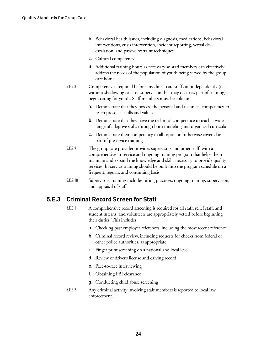- b. Behavioral health issues, including diagnosis, medications, behavioral interventions, crisis intervention, incident reporting, verbal deescalation, and passive restraint techniques
- c. Cultural competency
- d. Additional training hours as necessary so staff members can effectively address the needs of the population of youth being served by the group care home
- 5.E.2.8 Competency is required before any direct care staff can independently (i.e., without shadowing or close supervision that may occur as part of training) begin caring for youth. Staff members must be able to:
	- a. Demonstrate that they possess the personal and technical competency to teach prosocial skills and values
	- b. Demonstrate that they have the technical competence to teach a wide range of adaptive skills through both modeling and organized curricula
	- c. Demonstrate their competency in all topics not otherwise covered as part of preservice training
- 5.E.2.9 The group care provider provides supervisors and other staff with a comprehensive in-service and ongoing training program that helps them maintain and expand the knowledge and skills necessary to provide quality services. In-service training should be built into the program schedule on a frequent, regular, and continuing basis.
- 5.E.2.10 Supervisory training includes hiring practices, ongoing training, supervision, and appraisal of staff.

#### **5.E.3 Criminal Record Screen for Staff**

- 5.E.3.1 A comprehensive record screening is required for all staff, relief staff, and student interns, and volunteers are appropriately vetted before beginning their duties. This includes:
	- a. Checking past employer references, including the most recent reference
	- b. Criminal record review, including requests for checks from federal or other police authorities, as appropriate
	- c. Finger print screening on a national and local level
	- d. Review of driver's license and driving record
	- e. Face-to-face interviewing
	- f. Obtaining FBI clearance
	- g. Conducting child abuse screening
- 5.E.3.2 Any criminal activity involving staff members is reported to local law enforcement.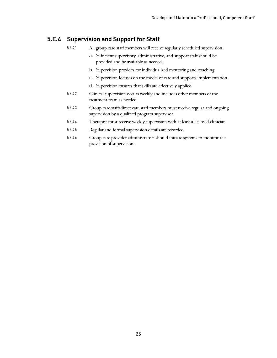#### **5.E.4 Supervision and Support for Staff**

- 5.E.4.1 All group care staff members will receive regularly scheduled supervision.
	- a. Sufficient supervisory, administrative, and support staff should be provided and be available as needed.
	- b. Supervision provides for individualized mentoring and coaching.
	- c. Supervision focuses on the model of care and supports implementation.
	- d. Supervision ensures that skills are effectively applied.
- 5.E.4.2 Clinical supervision occurs weekly and includes other members of the treatment team as needed.
- 5.E.4.3 Group care staff/direct care staff members must receive regular and ongoing supervision by a qualified program supervisor.
- 5.E.4.4 Therapist must receive weekly supervision with at least a licensed clinician.
- 5.E.4.5 Regular and formal supervision details are recorded.
- 5.E.4.6 Group care provider administrators should initiate systems to monitor the provision of supervision.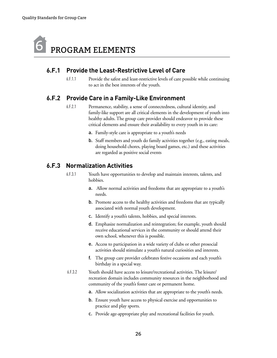

#### **6.F.1 Provide the Least-Restrictive Level of Care**

6.F.1.1 Provide the safest and least-restrictive levels of care possible while continuing to act in the best interests of the youth.

#### **6.F.2 Provide Care in a Family-Like Environment**

- 6.F.2.1 Permanence, stability, a sense of connectedness, cultural identity, and family-like support are all critical elements in the development of youth into healthy adults. The group care provider should endeavor to provide these critical elements and ensure their availability to every youth in its care:
	- a. Family-style care is appropriate to a youth's needs
	- b. Staff members and youth do family activities together (e.g., eating meals, doing household chores, playing board games, etc.) and these activities are regarded as positive social events

#### **6.F.3 Normalization Activities**

- 6.F.3.1 Youth have opportunities to develop and maintain interests, talents, and hobbies.
	- a. Allow normal activities and freedoms that are appropriate to a youth's needs.
	- **b.** Promote access to the healthy activities and freedoms that are typically associated with normal youth development.
	- c. Identify a youth's talents, hobbies, and special interests.
	- d. Emphasize normalization and reintegration; for example, youth should receive educational services in the community or should attend their own school, whenever this is possible.
	- e. Access to participation in a wide variety of clubs or other prosocial activities should stimulate a youth's natural curiosities and interests.
	- f. The group care provider celebrates festive occasions and each youth's birthday in a special way.
- 6.F.3.2 Youth should have access to leisure/recreational activities. The leisure/ recreation domain includes community resources in the neighborhood and community of the youth's foster care or permanent home.
	- a. Allow socialization activities that are appropriate to the youth's needs.
	- b. Ensure youth have access to physical exercise and opportunities to practice and play sports.
	- c. Provide age-appropriate play and recreational facilities for youth.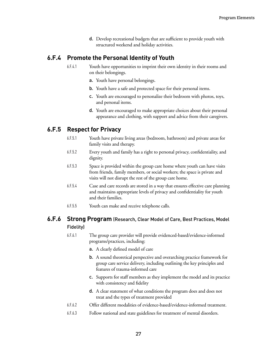d. Develop recreational budgets that are sufficient to provide youth with structured weekend and holiday activities.

#### **6.F.4 Promote the Personal Identity of Youth**

- 6.F.4.1 Youth have opportunities to imprint their own identity in their rooms and on their belongings.
	- a. Youth have personal belongings.
	- **b.** Youth have a safe and protected space for their personal items.
	- c. Youth are encouraged to personalize their bedroom with photos, toys, and personal items.
	- d. Youth are encouraged to make appropriate choices about their personal appearance and clothing, with support and advice from their caregivers.

#### **6.F.5 Respect for Privacy**

- 6.F.5.1 Youth have private living areas (bedroom, bathroom) and private areas for family visits and therapy.
- 6.F.5.2 Every youth and family has a right to personal privacy, confidentiality, and dignity.
- 6.F.5.3 Space is provided within the group care home where youth can have visits from friends, family members, or social workers; the space is private and visits will not disrupt the rest of the group care home.
- 6.F.5.4 Case and care records are stored in a way that ensures effective care planning and maintains appropriate levels of privacy and confidentiality for youth and their families.
- 6.F.5.5 Youth can make and receive telephone calls.

#### **6.F.6 Strong Program** (Research, Clear Model of Care, Best Practices, Model Fidelity)

- 6.F.6.1 The group care provider will provide evidenced-based/evidence-informed programs/practices, including:
	- a. A clearly defined model of care
	- b. A sound theoretical perspective and overarching practice framework for group care service delivery, including outlining the key principles and features of trauma-informed care
	- c. Supports for staff members as they implement the model and its practice with consistency and fidelity
	- d. A clear statement of what conditions the program does and does not treat and the types of treatment provided
- 6.F.6.2 Offer different modalities of evidence-based/evidence-informed treatment.
- 6.F.6.3 Follow national and state guidelines for treatment of mental disorders.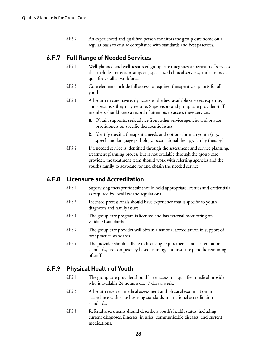6.F.6.4 An experienced and qualified person monitors the group care home on a regular basis to ensure compliance with standards and best practices.

#### **6.F.7 Full Range of Needed Services**

- 6.F.7.1 Well-planned and well-resourced group care integrates a spectrum of services that includes transition supports, specialized clinical services, and a trained, qualified, skilled workforce.
- 6.F.7.2 Core elements include full access to required therapeutic supports for all youth.
- 6.F.7.3 All youth in care have early access to the best available services, expertise, and specialists they may require. Supervisors and group care provider staff members should keep a record of attempts to access these services.
	- a. Obtain supports, seek advice from other service agencies and private practitioners on specific therapeutic issues
	- b. Identify specific therapeutic needs and options for each youth (e.g., speech and language pathology, occupational therapy, family therapy)
- 6.F.7.4 If a needed service is identified through the assessment and service planning/ treatment planning process but is not available through the group care provider, the treatment team should work with referring agencies and the youth's family to advocate for and obtain the needed service.

#### **6.F.8 Licensure and Accreditation**

- 6.F.8.1 Supervising therapeutic staff should hold appropriate licenses and credentials as required by local law and regulations.
- 6.F.8.2 Licensed professionals should have experience that is specific to youth diagnoses and family issues.
- 6.F.8.3 The group care program is licensed and has external monitoring on validated standards.
- 6.F.8.4 The group care provider will obtain a national accreditation in support of best practice standards.
- 6.F.8.5 The provider should adhere to licensing requirements and accreditation standards, use competency-based training, and institute periodic retraining of staff.

#### **6.F.9 Physical Health of Youth**

- 6.F.9.1 The group care provider should have access to a qualified medical provider who is available 24 hours a day, 7 days a week.
- 6.F.9.2 All youth receive a medical assessment and physical examination in accordance with state licensing standards and national accreditation standards.
- 6.F.9.3 Referral assessments should describe a youth's health status, including current diagnoses, illnesses, injuries, communicable diseases, and current medications.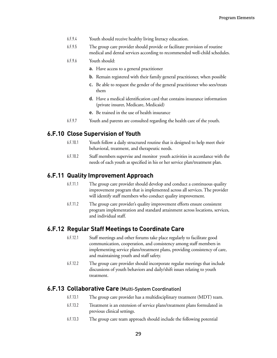- 6.F.9.4 Youth should receive healthy living literacy education.
- 6.F.9.5 The group care provider should provide or facilitate provision of routine medical and dental services according to recommended well-child schedules.

#### 6.F.9.6 Youth should:

- a. Have access to a general practitioner
- b. Remain registered with their family general practitioner, when possible
- c. Be able to request the gender of the general practitioner who sees/treats them
- d. Have a medical identification card that contains insurance information (private insurer, Medicare, Medicaid)
- e. Be trained in the use of health insurance
- 6.F.9.7 Youth and parents are consulted regarding the health care of the youth.

#### **6.F.10 Close Supervision of Youth**

- 6.F.10.1 Youth follow a daily structured routine that is designed to help meet their behavioral, treatment, and therapeutic needs.
- 6.F.10.2 Staff members supervise and monitor youth activities in accordance with the needs of each youth as specified in his or her service plan/treatment plan.

#### **6.F.11 Quality Improvement Approach**

- 6.F.11.1 The group care provider should develop and conduct a continuous quality improvement program that is implemented across all services. The provider will identify staff members who conduct quality improvement.
- 6.F.11.2 The group care provider's quality improvement efforts ensure consistent program implementation and standard attainment across locations, services, and individual staff.

#### **6.F.12 Regular Staff Meetings to Coordinate Care**

- 6.F.12.1 Staff meetings and other forums take place regularly to facilitate good communication, cooperation, and consistency among staff members in implementing service plans/treatment plans, providing consistency of care, and maintaining youth and staff safety.
- 6.F.12.2 The group care provider should incorporate regular meetings that include discussions of youth behaviors and daily/shift issues relating to youth treatment.

#### **6.F.13 Collaborative Care** (Multi-System Coordination)

- 6.F.13.1 The group care provider has a multidisciplinary treatment (MDT) team.
- 6.F.13.2 Treatment is an extension of service plans/treatment plans formulated in previous clinical settings.
- 6.F.13.3 The group care team approach should include the following potential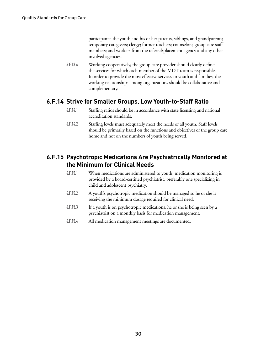participants: the youth and his or her parents, siblings, and grandparents; temporary caregivers; clergy; former teachers; counselors; group care staff members; and workers from the referral/placement agency and any other involved agencies.

6.F.13.4 Working cooperatively, the group care provider should clearly define the services for which each member of the MDT team is responsible. In order to provide the most effective services to youth and families, the working relationships among organizations should be collaborative and complementary.

#### **6.F.14 Strive for Smaller Groups, Low Youth-to-Staff Ratio**

- 6.F.14.1 Staffing ratios should be in accordance with state licensing and national accreditation standards.
- 6.F.14.2 Staffing levels must adequately meet the needs of all youth. Staff levels should be primarily based on the functions and objectives of the group care home and not on the numbers of youth being served.

#### **6.F.15 Psychotropic Medications Are Psychiatrically Monitored at the Minimum for Clinical Needs**

- 6.F.15.1 When medications are administered to youth, medication monitoring is provided by a board-certified psychiatrist, preferably one specializing in child and adolescent psychiatry.
- 6.F.15.2 A youth's psychotropic medication should be managed so he or she is receiving the minimum dosage required for clinical need.
- 6.F.15.3 If a youth is on psychotropic medications, he or she is being seen by a psychiatrist on a monthly basis for medication management.
- 6.F.15.4 All medication management meetings are documented.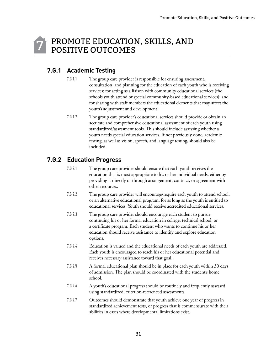## 7 PROMOTE EDUCATION, SKILLS, AND POSITIVE OUTCOMES

#### **7.G.1 Academic Testing**

- 7.G.1.1 The group care provider is responsible for ensuring assessment, consultation, and planning for the education of each youth who is receiving services; for acting as a liaison with community educational services (the schools youth attend or special community-based educational services); and for sharing with staff members the educational elements that may affect the youth's adjustment and development.
- 7.G.1.2 The group care provider's educational services should provide or obtain an accurate and comprehensive educational assessment of each youth using standardized/assessment tools. This should include assessing whether a youth needs special education services. If not previously done, academic testing, as well as vision, speech, and language testing, should also be included.

#### **7.G.2 Education Progress**

- 7.G.2.1 The group care provider should ensure that each youth receives the education that is most appropriate to his or her individual needs, either by providing it directly or through arrangement, contract, or agreement with other resources.
- 7.G.2.2 The group care provider will encourage/require each youth to attend school, or an alternative educational program, for as long as the youth is entitled to educational services. Youth should receive accredited educational services.
- 7.G.2.3 The group care provider should encourage each student to pursue continuing his or her formal education in college, technical school, or a certificate program. Each student who wants to continue his or her education should receive assistance to identify and explore education options.
- 7.G.2.4 Education is valued and the educational needs of each youth are addressed. Each youth is encouraged to reach his or her educational potential and receives necessary assistance toward that goal.
- 7.G.2.5 A formal educational plan should be in place for each youth within 30 days of admission. The plan should be coordinated with the student's home school.
- 7.G.2.6 A youth's educational progress should be routinely and frequently assessed using standardized, criterion-referenced assessments.
- 7.G.2.7 Outcomes should demonstrate that youth achieve one year of progress in standardized achievement tests, or progress that is commensurate with their abilities in cases where developmental limitations exist.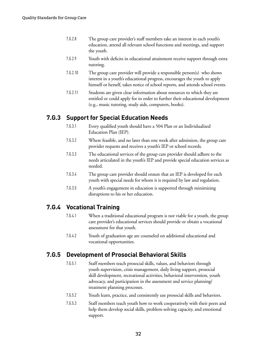- 7.G.2.8 The group care provider's staff members take an interest in each youth's education, attend all relevant school functions and meetings, and support the youth.
- 7.G.2.9 Youth with deficits in educational attainment receive support through extra tutoring.
- 7.G.2.10 The group care provider will provide a responsible person(s) who shows interest in a youth's educational progress, encourages the youth to apply himself or herself, takes notice of school reports, and attends school events.
- 7.G.2.11 Students are given clear information about resources to which they are entitled or could apply for in order to further their educational development (e.g., music tutoring, study aids, computers, books).

#### **7.G.3 Support for Special Education Needs**

- 7.G.3.1 Every qualified youth should have a 504 Plan or an Individualized Education Plan (IEP).
- 7.G.3.2 Where feasible, and no later than one week after admission, the group care provider requests and receives a youth's IEP or school records.
- 7.G.3.3 The educational services of the group care provider should adhere to the needs articulated in the youth's IEP and provide special education services as needed.
- 7.G.3.4 The group care provider should ensure that an IEP is developed for each youth with special needs for whom it is required by law and regulation.
- 7.G.3.5 A youth's engagement in education is supported through minimizing disruptions to his or her education.

#### **7.G.4 Vocational Training**

- 7.G.4.1 When a traditional educational program is not viable for a youth, the group care provider's educational services should provide or obtain a vocational assessment for that youth.
- 7.G.4.2 Youth of graduation age are counseled on additional educational and vocational opportunities.

#### **7.G.5 Development of Prosocial Behavioral Skills**

- 7.G.5.1 Staff members teach prosocial skills, values, and behaviors through youth supervision, crisis management, daily living support, prosocial skill development, recreational activities, behavioral intervention, youth advocacy, and participation in the assessment and service planning/ treatment planning processes.
- 7.G.5.2 Youth learn, practice, and consistently use prosocial skills and behaviors.
- 7.G.5.3 Staff members teach youth how to work cooperatively with their peers and help them develop social skills, problem-solving capacity, and emotional support.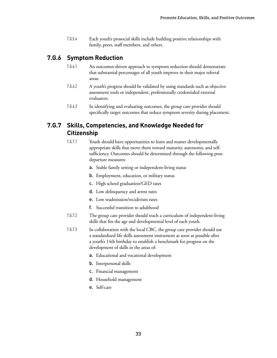7.G.5.4 Each youth's prosocial skills include building positive relationships with family, peers, staff members, and others.

#### **7.G.6 Symptom Reduction**

- 7.G.6.1 An outcomes-driven approach to symptom reduction should demonstrate that substantial percentages of all youth improve in their major referral areas.
- 7.G.6.2 A youth's progress should be validated by using standards such as objective assessment tools or independent, professionally credentialed external evaluators.
- 7.G.6.3 In identifying and evaluating outcomes, the group care provider should specifically target outcomes that reduce symptom severity during placement.

#### **7.G.7 Skills, Competencies, and Knowledge Needed for Citizenship**

- 7.G.7.1 Youth should have opportunities to learn and master developmentally appropriate skills that move them toward maturity, autonomy, and selfsufficiency. Outcomes should be determined through the following postdeparture measures:
	- a. Stable family setting or independent-living status
	- b. Employment, education, or military status
	- c. High school graduation/GED rates
	- d. Low delinquency and arrest rates
	- e. Low readmission/recidivism rates
	- f. Successful transition to adulthood
- 7.G.7.2 The group care provider should teach a curriculum of independent-living skills that fits the age and developmental level of each youth.
- 7.G.7.3 In collaboration with the local CBC, the group care provider should use a standardized life skills assessment instrument as soon as possible after a youth's 14th birthday to establish a benchmark for progress on the development of skills in the areas of:
	- a. Educational and vocational development
	- **b.** Interpersonal skills
	- c. Financial management
	- d. Household management
	- e. Self-care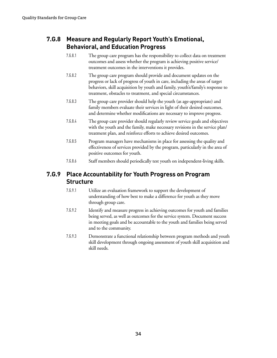#### **7.G.8 Measure and Regularly Report Youth's Emotional, Behavioral, and Education Progress**

- 7.G.8.1 The group care program has the responsibility to collect data on treatment outcomes and assess whether the program is achieving positive service/ treatment outcomes in the interventions it provides.
- 7.G.8.2 The group care program should provide and document updates on the progress or lack of progress of youth in care, including the areas of target behaviors, skill acquisition by youth and family, youth's/family's response to treatment, obstacles to treatment, and special circumstances.
- 7.G.8.3 The group care provider should help the youth (as age-appropriate) and family members evaluate their services in light of their desired outcomes, and determine whether modifications are necessary to improve progress.
- 7.G.8.4 The group care provider should regularly review service goals and objectives with the youth and the family, make necessary revisions in the service plan/ treatment plan, and reinforce efforts to achieve desired outcomes.
- 7.G.8.5 Program managers have mechanisms in place for assessing the quality and effectiveness of services provided by the program, particularly in the area of positive outcomes for youth.
- 7.G.8.6 Staff members should periodically test youth on independent-living skills.

#### **7.G.9 Place Accountability for Youth Progress on Program Structure**

- 7.G.9.1 Utilize an evaluation framework to support the development of understanding of how best to make a difference for youth as they move through group care.
- 7.G.9.2 Identify and measure progress in achieving outcomes for youth and families being served, as well as outcomes for the service system. Document success in meeting goals and be accountable to the youth and families being served and to the community.
- 7.G.9.3 Demonstrate a functional relationship between program methods and youth skill development through ongoing assessment of youth skill acquisition and skill needs.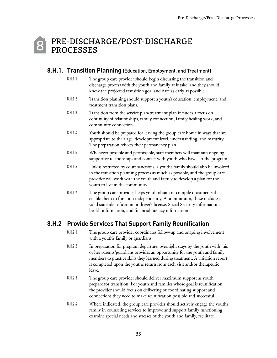#### 8 PRE-DISCHARGE/POST-DISCHARGE PROCESSES

#### **8.H.1. Transition Planning** (Education, Employment, and Treatment)

- 8.H.1.1 The group care provider should begin discussing the transition and discharge process with the youth and family at intake, and they should know the projected transition goal and date as early as possible.
- 8.H.1.2 Transition planning should support a youth's education, employment, and treatment transition plans.
- 8.H.1.3 Transition from the service plan/treatment plan includes a focus on continuity of relationships, family connection, family healing work, and community connection.
- 8.H.1.4 Youth should be prepared for leaving the group care home in ways that are appropriate to their age, development level, understanding, and maturity. The preparation reflects their permanency plan.
- 8.H.1.5 Whenever possible and permissible, staff members will maintain ongoing supportive relationships and contact with youth who have left the program.
- 8.H.1.6 Unless restricted by court sanctions, a youth's family should also be involved in the transition planning process as much as possible, and the group care provider will work with the youth and family to develop a plan for the youth to live in the community.
- 8.H.1.7 The group care provider helps youth obtain or compile documents that enable them to function independently. At a minimum, these include a valid state identification or driver's license, Social Security information, health information, and financial literacy information.

#### **8.H.2 Provide Services That Support Family Reunification**

- 8.H.2.1 The group care provider coordinates follow-up and ongoing involvement with a youth's family or guardians.
- 8.H.2.2 In preparation for program departure, overnight stays by the youth with his or her parents/guardians provides an opportunity for the youth and family members to practice skills they learned during treatment. A visitation report is completed upon the youth's return from each visit and/or therapeutic leave.
- 8.H.2.3 The group care provider should deliver maximum support as youth prepare for transition. For youth and families whose goal is reunification, the provider should focus on delivering or coordinating support and connections they need to make reunification possible and successful.
- 8.H.2.4 Where indicated, the group care provider should actively engage the youth's family in counseling services to improve and support family functioning, examine special needs and stresses of the youth and family, facilitate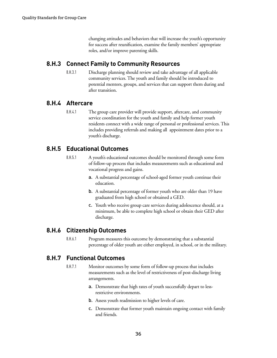changing attitudes and behaviors that will increase the youth's opportunity for success after reunification, examine the family members' appropriate roles, and/or improve parenting skills.

#### **8.H.3 Connect Family to Community Resources**

8.H.3.1 Discharge planning should review and take advantage of all applicable community services. The youth and family should be introduced to potential mentors, groups, and services that can support them during and after transition.

#### **8.H.4 Aftercare**

8.H.4.1 The group care provider will provide support, aftercare, and community service coordination for the youth and family and help former youth residents connect with a wide range of personal or professional services. This includes providing referrals and making all appointment dates prior to a youth's discharge.

#### **8.H.5 Educational Outcomes**

- 8.H.5.1 A youth's educational outcomes should be monitored through some form of follow-up process that includes measurements such as educational and vocational progress and gains.
	- a. A substantial percentage of school-aged former youth continue their education.
	- b. A substantial percentage of former youth who are older than 19 have graduated from high school or obtained a GED.
	- c. Youth who receive group care services during adolescence should, at a minimum, be able to complete high school or obtain their GED after discharge.

#### **8.H.6 Citizenship Outcomes**

8.H.6.1 Program measures this outcome by demonstrating that a substantial percentage of older youth are either employed, in school, or in the military.

#### **8.H.7 Functional Outcomes**

- 8.H.7.1 Monitor outcomes by some form of follow-up process that includes measurements such as the level of restrictiveness of post-discharge living arrangements.
	- a. Demonstrate that high rates of youth successfully depart to lessrestrictive environments.
	- b. Assess youth readmission to higher levels of care.
	- c. Demonstrate that former youth maintain ongoing contact with family and friends.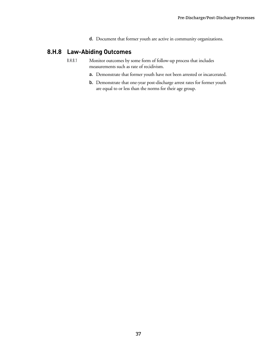d. Document that former youth are active in community organizations.

#### **8.H.8 Law-Abiding Outcomes**

8.H.8.1 Monitor outcomes by some form of follow-up process that includes measurements such as rate of recidivism.

- a. Demonstrate that former youth have not been arrested or incarcerated.
- b. Demonstrate that one-year post-discharge arrest rates for former youth are equal to or less than the norms for their age group.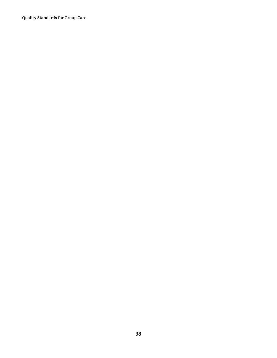Quality Standards for Group Care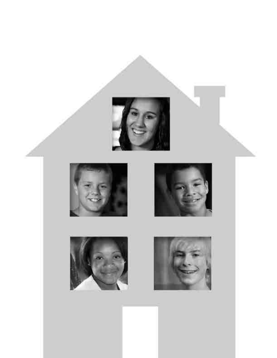